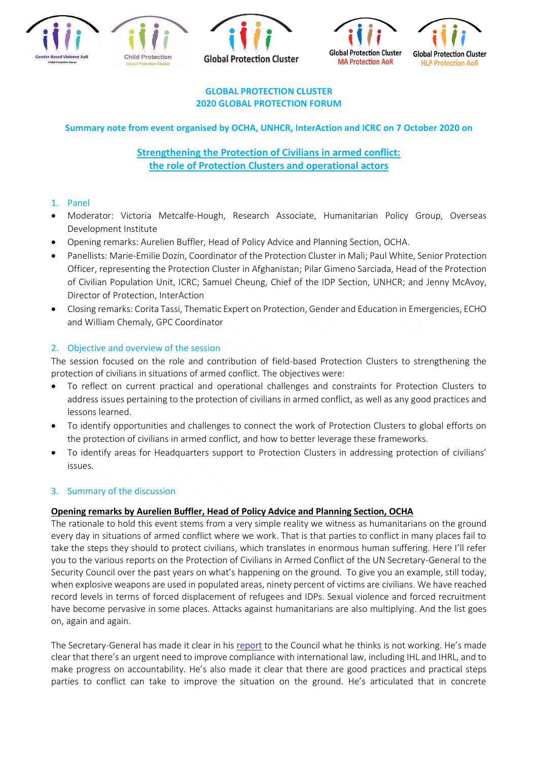







#### **GLOBAL PROTECTION CLUSTER 2020 GLOBAL PROTECTION FORUM**

# **Summary note from event organised by OCHA, UNHCR, InterAction and ICRC on 7 October 2020 on**

# **Strengthening the Protection of Civilians in armed conflict: the role of Protection Clusters and operational actors**

# 1. Panel

- Moderator: Victoria Metcalfe-Hough, Research Associate, Humanitarian Policy Group, Overseas Development Institute
- Opening remarks: Aurelien Buffler, Head of Policy Advice and Planning Section, OCHA.
- Panellists: Marie-Emilie Dozin, Coordinator of the Protection Cluster in Mali; Paul White, Senior Protection Officer, representing the Protection Cluster in Afghanistan; Pilar Gimeno Sarciada, Head of the Protection of Civilian Population Unit, ICRC; Samuel Cheung, Chief of the IDP Section, UNHCR; and Jenny McAvoy, Director of Protection, InterAction
- Closing remarks: Corita Tassi, Thematic Expert on Protection, Gender and Education in Emergencies, ECHO and William Chemaly, GPC Coordinator

# 2. Objective and overview of the session

The session focused on the role and contribution of field-based Protection Clusters to strengthening the protection of civilians in situations of armed conflict. The objectives were:

- To reflect on current practical and operational challenges and constraints for Protection Clusters to address issues pertaining to the protection of civilians in armed conflict, as well as any good practices and lessons learned.
- To identify opportunities and challenges to connect the work of Protection Clusters to global efforts on the protection of civilians in armed conflict, and how to better leverage these frameworks.
- To identify areas for Headquarters support to Protection Clusters in addressing protection of civilians' issues.

### 3. Summary of the discussion

### **Opening remarks by Aurelien Buffler, Head of Policy Advice and Planning Section, OCHA**

The rationale to hold this event stems from a very simple reality we witness as humanitarians on the ground every day in situations of armed conflict where we work. That is that parties to conflict in many places fail to take the steps they should to protect civilians, which translates in enormous human suffering. Here I'll refer you to the various reports on the Protection of Civilians in Armed Conflict of the UN Secretary-General to the Security Council over the past years on what's happening on the ground. To give you an example, still today, when explosive weapons are used in populated areas, ninety percent of victims are civilians. We have reached record levels in terms of forced displacement of refugees and IDPs. Sexual violence and forced recruitment have become pervasive in some places. Attacks against humanitarians are also multiplying. And the list goes on, again and again.

The Secretary-General has made it clear in his [report](https://undocs.org/en/S/2020/366) to the Council what he thinks is not working. He's made clear that there's an urgent need to improve compliance with international law, including IHL and IHRL, and to make progress on accountability. He's also made it clear that there are good practices and practical steps parties to conflict can take to improve the situation on the ground. He's articulated that in concrete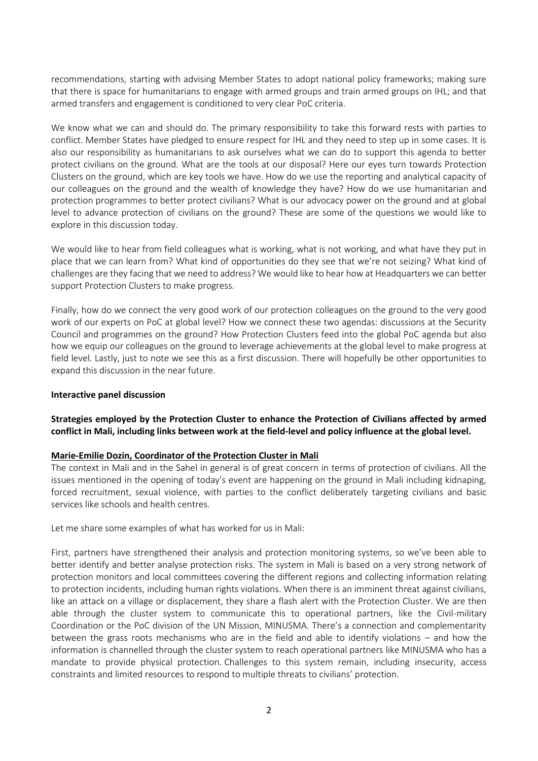recommendations, starting with advising Member States to adopt national policy frameworks; making sure that there is space for humanitarians to engage with armed groups and train armed groups on IHL; and that armed transfers and engagement is conditioned to very clear PoC criteria.

We know what we can and should do. The primary responsibility to take this forward rests with parties to conflict. Member States have pledged to ensure respect for IHL and they need to step up in some cases. It is also our responsibility as humanitarians to ask ourselves what we can do to support this agenda to better protect civilians on the ground. What are the tools at our disposal? Here our eyes turn towards Protection Clusters on the ground, which are key tools we have. How do we use the reporting and analytical capacity of our colleagues on the ground and the wealth of knowledge they have? How do we use humanitarian and protection programmes to better protect civilians? What is our advocacy power on the ground and at global level to advance protection of civilians on the ground? These are some of the questions we would like to explore in this discussion today.

We would like to hear from field colleagues what is working, what is not working, and what have they put in place that we can learn from? What kind of opportunities do they see that we're not seizing? What kind of challenges are they facing that we need to address? We would like to hear how at Headquarters we can better support Protection Clusters to make progress.

Finally, how do we connect the very good work of our protection colleagues on the ground to the very good work of our experts on PoC at global level? How we connect these two agendas: discussions at the Security Council and programmes on the ground? How Protection Clusters feed into the global PoC agenda but also how we equip our colleagues on the ground to leverage achievements at the global level to make progress at field level. Lastly, just to note we see this as a first discussion. There will hopefully be other opportunities to expand this discussion in the near future.

#### **Interactive panel discussion**

### **Strategies employed by the Protection Cluster to enhance the Protection of Civilians affected by armed conflict in Mali, including links between work at the field-level and policy influence at the global level.**

### **Marie-Emilie Dozin, Coordinator of the Protection Cluster in Mali**

The context in Mali and in the Sahel in general is of great concern in terms of protection of civilians. All the issues mentioned in the opening of today's event are happening on the ground in Mali including kidnaping, forced recruitment, sexual violence, with parties to the conflict deliberately targeting civilians and basic services like schools and health centres.

Let me share some examples of what has worked for us in Mali:

First, partners have strengthened their analysis and protection monitoring systems, so we've been able to better identify and better analyse protection risks. The system in Mali is based on a very strong network of protection monitors and local committees covering the different regions and collecting information relating to protection incidents, including human rights violations. When there is an imminent threat against civilians, like an attack on a village or displacement, they share a flash alert with the Protection Cluster. We are then able through the cluster system to communicate this to operational partners, like the Civil-military Coordination or the PoC division of the UN Mission, MINUSMA. There's a connection and complementarity between the grass roots mechanisms who are in the field and able to identify violations – and how the information is channelled through the cluster system to reach operational partners like MINUSMA who has a mandate to provide physical protection. Challenges to this system remain, including insecurity, access constraints and limited resources to respond to multiple threats to civilians' protection.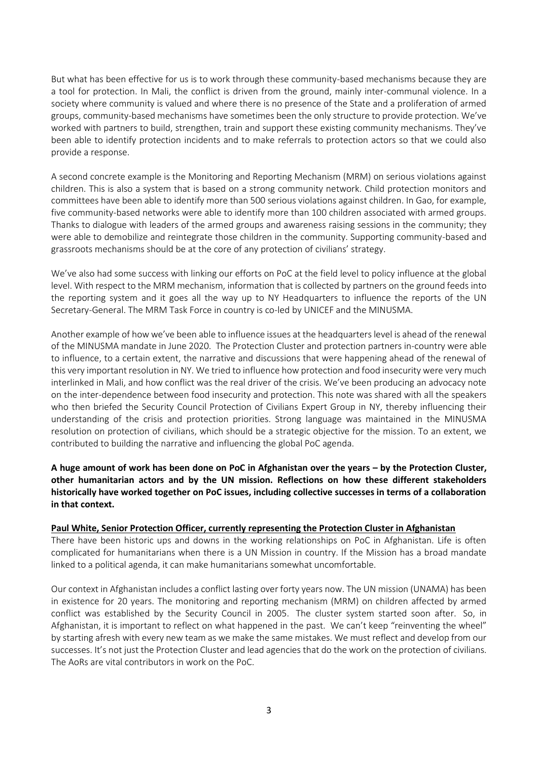But what has been effective for us is to work through these community-based mechanisms because they are a tool for protection. In Mali, the conflict is driven from the ground, mainly inter-communal violence. In a society where community is valued and where there is no presence of the State and a proliferation of armed groups, community-based mechanisms have sometimes been the only structure to provide protection. We've worked with partners to build, strengthen, train and support these existing community mechanisms. They've been able to identify protection incidents and to make referrals to protection actors so that we could also provide a response.

A second concrete example is the Monitoring and Reporting Mechanism (MRM) on serious violations against children. This is also a system that is based on a strong community network. Child protection monitors and committees have been able to identify more than 500 serious violations against children. In Gao, for example, five community-based networks were able to identify more than 100 children associated with armed groups. Thanks to dialogue with leaders of the armed groups and awareness raising sessions in the community; they were able to demobilize and reintegrate those children in the community. Supporting community-based and grassroots mechanisms should be at the core of any protection of civilians' strategy.

We've also had some success with linking our efforts on PoC at the field level to policy influence at the global level. With respect to the MRM mechanism, information that is collected by partners on the ground feeds into the reporting system and it goes all the way up to NY Headquarters to influence the reports of the UN Secretary-General. The MRM Task Force in country is co-led by UNICEF and the MINUSMA.

Another example of how we've been able to influence issues at the headquarters level is ahead of the renewal of the MINUSMA mandate in June 2020. The Protection Cluster and protection partners in-country were able to influence, to a certain extent, the narrative and discussions that were happening ahead of the renewal of this very important resolution in NY. We tried to influence how protection and food insecurity were very much interlinked in Mali, and how conflict was the real driver of the crisis. We've been producing an advocacy note on the inter-dependence between food insecurity and protection. This note was shared with all the speakers who then briefed the Security Council Protection of Civilians Expert Group in NY, thereby influencing their understanding of the crisis and protection priorities. Strong language was maintained in the MINUSMA resolution on protection of civilians, which should be a strategic objective for the mission. To an extent, we contributed to building the narrative and influencing the global PoC agenda.

**A huge amount of work has been done on PoC in Afghanistan over the years – by the Protection Cluster, other humanitarian actors and by the UN mission. Reflections on how these different stakeholders historically have worked together on PoC issues, including collective successes in terms of a collaboration in that context.** 

#### **Paul White, Senior Protection Officer, currently representing the Protection Cluster in Afghanistan**

There have been historic ups and downs in the working relationships on PoC in Afghanistan. Life is often complicated for humanitarians when there is a UN Mission in country. If the Mission has a broad mandate linked to a political agenda, it can make humanitarians somewhat uncomfortable.

Our context in Afghanistan includes a conflict lasting over forty years now. The UN mission (UNAMA) has been in existence for 20 years. The monitoring and reporting mechanism (MRM) on children affected by armed conflict was established by the Security Council in 2005. The cluster system started soon after. So, in Afghanistan, it is important to reflect on what happened in the past. We can't keep "reinventing the wheel" by starting afresh with every new team as we make the same mistakes. We must reflect and develop from our successes. It's not just the Protection Cluster and lead agencies that do the work on the protection of civilians. The AoRs are vital contributors in work on the PoC.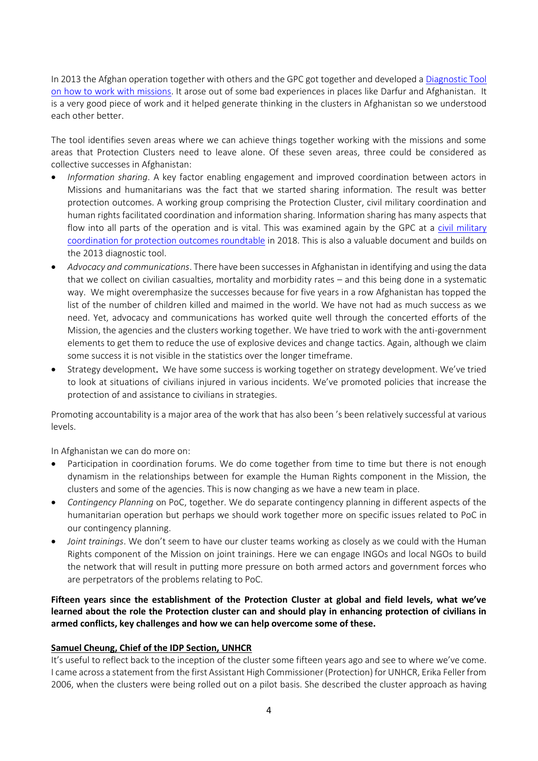In 2013 the Afghan operation together with others and the GPC got together and developed a [Diagnostic Tool](https://www.globalprotectioncluster.org/_assets/files/tools_and_guidance/GPC_Diagnostic_Tool_Interaction_UN_Missions_2013_EN.pdf)  [on how to work with missions.](https://www.globalprotectioncluster.org/_assets/files/tools_and_guidance/GPC_Diagnostic_Tool_Interaction_UN_Missions_2013_EN.pdf) It arose out of some bad experiences in places like Darfur and Afghanistan. It is a very good piece of work and it helped generate thinking in the clusters in Afghanistan so we understood each other better.

The tool identifies seven areas where we can achieve things together working with the missions and some areas that Protection Clusters need to leave alone. Of these seven areas, three could be considered as collective successes in Afghanistan:

- *Information sharing*. A key factor enabling engagement and improved coordination between actors in Missions and humanitarians was the fact that we started sharing information. The result was better protection outcomes. A working group comprising the Protection Cluster, civil military coordination and human rights facilitated coordination and information sharing. Information sharing has many aspects that flow into all parts of the operation and is vital. This was examined again by the GPC at a [civil military](https://www.globalprotectioncluster.org/_assets/files/gpc-civil-military_coordination-protection-outcomes.pdf)  [coordination for protection outcomes roundtable](https://www.globalprotectioncluster.org/_assets/files/gpc-civil-military_coordination-protection-outcomes.pdf) in 2018. This is also a valuable document and builds on the 2013 diagnostic tool.
- *Advocacy and communications*. There have been successes in Afghanistan in identifying and using the data that we collect on civilian casualties, mortality and morbidity rates – and this being done in a systematic way. We might overemphasize the successes because for five years in a row Afghanistan has topped the list of the number of children killed and maimed in the world. We have not had as much success as we need. Yet, advocacy and communications has worked quite well through the concerted efforts of the Mission, the agencies and the clusters working together. We have tried to work with the anti-government elements to get them to reduce the use of explosive devices and change tactics. Again, although we claim some success it is not visible in the statistics over the longer timeframe.
- Strategy development. We have some success is working together on strategy development. We've tried to look at situations of civilians injured in various incidents. We've promoted policies that increase the protection of and assistance to civilians in strategies.

Promoting accountability is a major area of the work that has also been 's been relatively successful at various levels.

In Afghanistan we can do more on:

- Participation in coordination forums. We do come together from time to time but there is not enough dynamism in the relationships between for example the Human Rights component in the Mission, the clusters and some of the agencies. This is now changing as we have a new team in place.
- *Contingency Planning* on PoC, together. We do separate contingency planning in different aspects of the humanitarian operation but perhaps we should work together more on specific issues related to PoC in our contingency planning.
- *Joint trainings*. We don't seem to have our cluster teams working as closely as we could with the Human Rights component of the Mission on joint trainings. Here we can engage INGOs and local NGOs to build the network that will result in putting more pressure on both armed actors and government forces who are perpetrators of the problems relating to PoC.

**Fifteen years since the establishment of the Protection Cluster at global and field levels, what we've learned about the role the Protection cluster can and should play in enhancing protection of civilians in armed conflicts, key challenges and how we can help overcome some of these.** 

#### **Samuel Cheung, Chief of the IDP Section, UNHCR**

It's useful to reflect back to the inception of the cluster some fifteen years ago and see to where we've come. I came across a statement from the first Assistant High Commissioner (Protection) for UNHCR, Erika Feller from 2006, when the clusters were being rolled out on a pilot basis. She described the cluster approach as having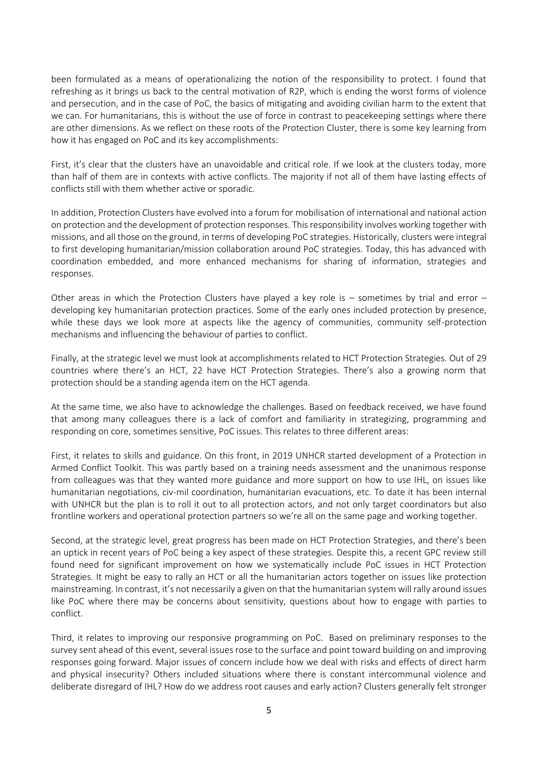been formulated as a means of operationalizing the notion of the responsibility to protect. I found that refreshing as it brings us back to the central motivation of R2P, which is ending the worst forms of violence and persecution, and in the case of PoC, the basics of mitigating and avoiding civilian harm to the extent that we can. For humanitarians, this is without the use of force in contrast to peacekeeping settings where there are other dimensions. As we reflect on these roots of the Protection Cluster, there is some key learning from how it has engaged on PoC and its key accomplishments:

First, it's clear that the clusters have an unavoidable and critical role. If we look at the clusters today, more than half of them are in contexts with active conflicts. The majority if not all of them have lasting effects of conflicts still with them whether active or sporadic.

In addition, Protection Clusters have evolved into a forum for mobilisation of international and national action on protection and the development of protection responses. This responsibility involves working together with missions, and all those on the ground, in terms of developing PoC strategies. Historically, clusters were integral to first developing humanitarian/mission collaboration around PoC strategies. Today, this has advanced with coordination embedded, and more enhanced mechanisms for sharing of information, strategies and responses.

Other areas in which the Protection Clusters have played a key role is  $-$  sometimes by trial and error  $$ developing key humanitarian protection practices. Some of the early ones included protection by presence, while these days we look more at aspects like the agency of communities, community self-protection mechanisms and influencing the behaviour of parties to conflict.

Finally, at the strategic level we must look at accomplishments related to HCT Protection Strategies. Out of 29 countries where there's an HCT, 22 have HCT Protection Strategies. There's also a growing norm that protection should be a standing agenda item on the HCT agenda.

At the same time, we also have to acknowledge the challenges. Based on feedback received, we have found that among many colleagues there is a lack of comfort and familiarity in strategizing, programming and responding on core, sometimes sensitive, PoC issues. This relates to three different areas:

First, it relates to skills and guidance. On this front, in 2019 UNHCR started development of a Protection in Armed Conflict Toolkit. This was partly based on a training needs assessment and the unanimous response from colleagues was that they wanted more guidance and more support on how to use IHL, on issues like humanitarian negotiations, civ-mil coordination, humanitarian evacuations, etc. To date it has been internal with UNHCR but the plan is to roll it out to all protection actors, and not only target coordinators but also frontline workers and operational protection partners so we're all on the same page and working together.

Second, at the strategic level, great progress has been made on HCT Protection Strategies, and there's been an uptick in recent years of PoC being a key aspect of these strategies. Despite this, a recent GPC review still found need for significant improvement on how we systematically include PoC issues in HCT Protection Strategies. It might be easy to rally an HCT or all the humanitarian actors together on issues like protection mainstreaming. In contrast, it's not necessarily a given on that the humanitarian system will rally around issues like PoC where there may be concerns about sensitivity, questions about how to engage with parties to conflict.

Third, it relates to improving our responsive programming on PoC. Based on preliminary responses to the survey sent ahead of this event, several issues rose to the surface and point toward building on and improving responses going forward. Major issues of concern include how we deal with risks and effects of direct harm and physical insecurity? Others included situations where there is constant intercommunal violence and deliberate disregard of IHL? How do we address root causes and early action? Clusters generally felt stronger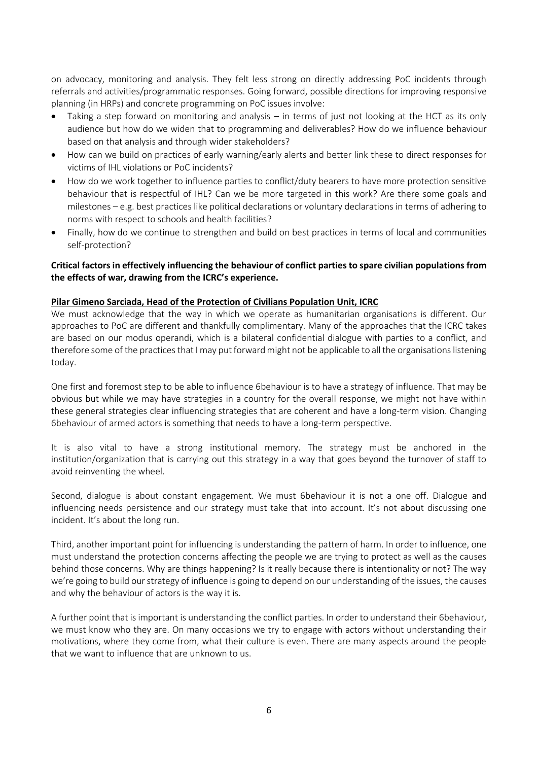on advocacy, monitoring and analysis. They felt less strong on directly addressing PoC incidents through referrals and activities/programmatic responses. Going forward, possible directions for improving responsive planning (in HRPs) and concrete programming on PoC issues involve:

- Taking a step forward on monitoring and analysis in terms of just not looking at the HCT as its only audience but how do we widen that to programming and deliverables? How do we influence behaviour based on that analysis and through wider stakeholders?
- How can we build on practices of early warning/early alerts and better link these to direct responses for victims of IHL violations or PoC incidents?
- How do we work together to influence parties to conflict/duty bearers to have more protection sensitive behaviour that is respectful of IHL? Can we be more targeted in this work? Are there some goals and milestones – e.g. best practices like political declarations or voluntary declarations in terms of adhering to norms with respect to schools and health facilities?
- Finally, how do we continue to strengthen and build on best practices in terms of local and communities self-protection?

### **Critical factors in effectively influencing the behaviour of conflict parties to spare civilian populations from the effects of war, drawing from the ICRC's experience.**

### **Pilar Gimeno Sarciada, Head of the Protection of Civilians Population Unit, ICRC**

We must acknowledge that the way in which we operate as humanitarian organisations is different. Our approaches to PoC are different and thankfully complimentary. Many of the approaches that the ICRC takes are based on our modus operandi, which is a bilateral confidential dialogue with parties to a conflict, and therefore some of the practices that I may put forward might not be applicable to all the organisations listening today.

One first and foremost step to be able to influence 6behaviour is to have a strategy of influence. That may be obvious but while we may have strategies in a country for the overall response, we might not have within these general strategies clear influencing strategies that are coherent and have a long-term vision. Changing 6behaviour of armed actors is something that needs to have a long-term perspective.

It is also vital to have a strong institutional memory. The strategy must be anchored in the institution/organization that is carrying out this strategy in a way that goes beyond the turnover of staff to avoid reinventing the wheel.

Second, dialogue is about constant engagement. We must 6behaviour it is not a one off. Dialogue and influencing needs persistence and our strategy must take that into account. It's not about discussing one incident. It's about the long run.

Third, another important point for influencing is understanding the pattern of harm. In order to influence, one must understand the protection concerns affecting the people we are trying to protect as well as the causes behind those concerns. Why are things happening? Is it really because there is intentionality or not? The way we're going to build our strategy of influence is going to depend on our understanding of the issues, the causes and why the behaviour of actors is the way it is.

A further point that is important is understanding the conflict parties. In order to understand their 6behaviour, we must know who they are. On many occasions we try to engage with actors without understanding their motivations, where they come from, what their culture is even. There are many aspects around the people that we want to influence that are unknown to us.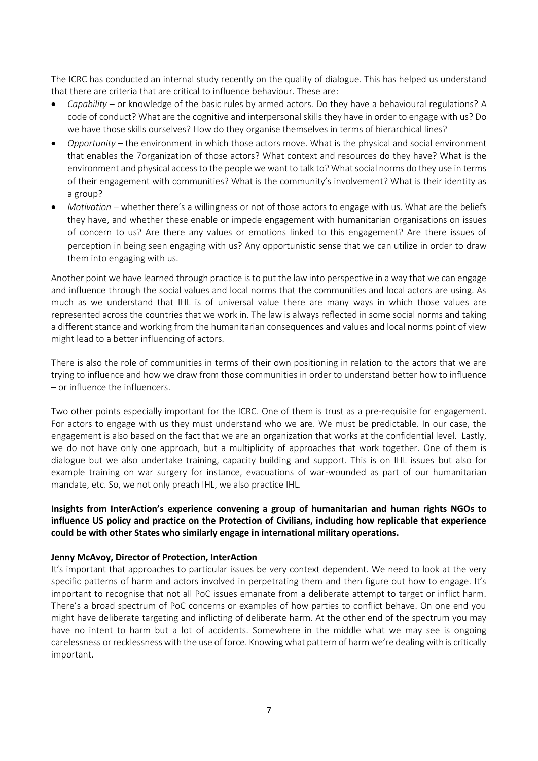The ICRC has conducted an internal study recently on the quality of dialogue. This has helped us understand that there are criteria that are critical to influence behaviour. These are:

- *Capability* or knowledge of the basic rules by armed actors. Do they have a behavioural regulations? A code of conduct? What are the cognitive and interpersonal skills they have in order to engage with us? Do we have those skills ourselves? How do they organise themselves in terms of hierarchical lines?
- *Opportunity* the environment in which those actors move. What is the physical and social environment that enables the 7organization of those actors? What context and resources do they have? What is the environment and physical access to the people we want to talk to? What social norms do they use in terms of their engagement with communities? What is the community's involvement? What is their identity as a group?
- *Motivation –* whether there's a willingness or not of those actors to engage with us. What are the beliefs they have, and whether these enable or impede engagement with humanitarian organisations on issues of concern to us? Are there any values or emotions linked to this engagement? Are there issues of perception in being seen engaging with us? Any opportunistic sense that we can utilize in order to draw them into engaging with us.

Another point we have learned through practice is to put the law into perspective in a way that we can engage and influence through the social values and local norms that the communities and local actors are using. As much as we understand that IHL is of universal value there are many ways in which those values are represented across the countries that we work in. The law is always reflected in some social norms and taking a different stance and working from the humanitarian consequences and values and local norms point of view might lead to a better influencing of actors.

There is also the role of communities in terms of their own positioning in relation to the actors that we are trying to influence and how we draw from those communities in order to understand better how to influence – or influence the influencers.

Two other points especially important for the ICRC. One of them is trust as a pre-requisite for engagement. For actors to engage with us they must understand who we are. We must be predictable. In our case, the engagement is also based on the fact that we are an organization that works at the confidential level. Lastly, we do not have only one approach, but a multiplicity of approaches that work together. One of them is dialogue but we also undertake training, capacity building and support. This is on IHL issues but also for example training on war surgery for instance, evacuations of war-wounded as part of our humanitarian mandate, etc. So, we not only preach IHL, we also practice IHL.

**Insights from InterAction's experience convening a group of humanitarian and human rights NGOs to influence US policy and practice on the Protection of Civilians, including how replicable that experience could be with other States who similarly engage in international military operations.**

#### **Jenny McAvoy, Director of Protection, InterAction**

It's important that approaches to particular issues be very context dependent. We need to look at the very specific patterns of harm and actors involved in perpetrating them and then figure out how to engage. It's important to recognise that not all PoC issues emanate from a deliberate attempt to target or inflict harm. There's a broad spectrum of PoC concerns or examples of how parties to conflict behave. On one end you might have deliberate targeting and inflicting of deliberate harm. At the other end of the spectrum you may have no intent to harm but a lot of accidents. Somewhere in the middle what we may see is ongoing carelessness or recklessness with the use of force. Knowing what pattern of harm we're dealing with is critically important.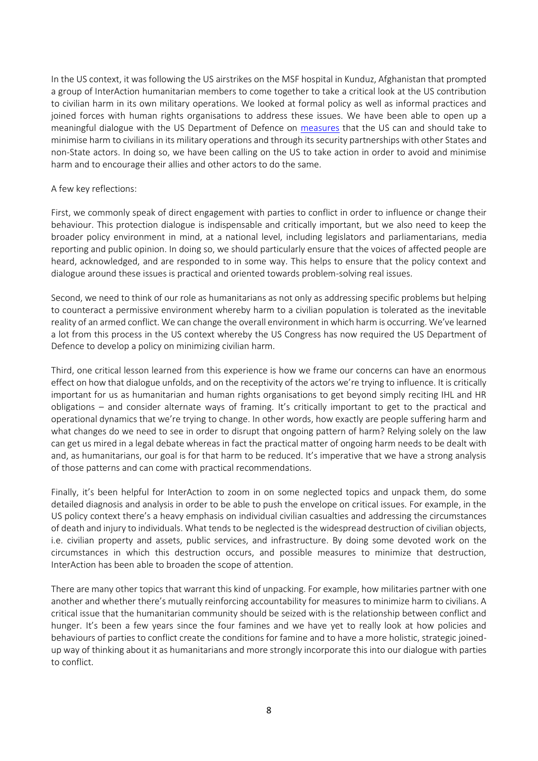In the US context, it was following the US airstrikes on the MSF hospital in Kunduz, Afghanistan that prompted a group of InterAction humanitarian members to come together to take a critical look at the US contribution to civilian harm in its own military operations. We looked at formal policy as well as informal practices and joined forces with human rights organisations to address these issues. We have been able to open up a meaningful dialogue with the US Department of Defence on [measures](https://www.interaction.org/blog/civil-society-guidance-for-a-model-policy-dod-policy-on-civilian-harm/) that the US can and should take to minimise harm to civilians in its military operations and through its security partnerships with other States and non-State actors. In doing so, we have been calling on the US to take action in order to avoid and minimise harm and to encourage their allies and other actors to do the same.

#### A few key reflections:

First, we commonly speak of direct engagement with parties to conflict in order to influence or change their behaviour. This protection dialogue is indispensable and critically important, but we also need to keep the broader policy environment in mind, at a national level, including legislators and parliamentarians, media reporting and public opinion. In doing so, we should particularly ensure that the voices of affected people are heard, acknowledged, and are responded to in some way. This helps to ensure that the policy context and dialogue around these issues is practical and oriented towards problem-solving real issues.

Second, we need to think of our role as humanitarians as not only as addressing specific problems but helping to counteract a permissive environment whereby harm to a civilian population is tolerated as the inevitable reality of an armed conflict. We can change the overall environment in which harm is occurring. We've learned a lot from this process in the US context whereby the US Congress has now required the US Department of Defence to develop a policy on minimizing civilian harm.

Third, one critical lesson learned from this experience is how we frame our concerns can have an enormous effect on how that dialogue unfolds, and on the receptivity of the actors we're trying to influence. It is critically important for us as humanitarian and human rights organisations to get beyond simply reciting IHL and HR obligations – and consider alternate ways of framing. It's critically important to get to the practical and operational dynamics that we're trying to change. In other words, how exactly are people suffering harm and what changes do we need to see in order to disrupt that ongoing pattern of harm? Relying solely on the law can get us mired in a legal debate whereas in fact the practical matter of ongoing harm needs to be dealt with and, as humanitarians, our goal is for that harm to be reduced. It's imperative that we have a strong analysis of those patterns and can come with practical recommendations.

Finally, it's been helpful for InterAction to zoom in on some neglected topics and unpack them, do some detailed diagnosis and analysis in order to be able to push the envelope on critical issues. For example, in the US policy context there's a heavy emphasis on individual civilian casualties and addressing the circumstances of death and injury to individuals. What tends to be neglected is the widespread destruction of civilian objects, i.e. civilian property and assets, public services, and infrastructure. By doing some devoted work on the circumstances in which this destruction occurs, and possible measures to minimize that destruction, InterAction has been able to broaden the scope of attention.

There are many other topics that warrant this kind of unpacking. For example, how militaries partner with one another and whether there's mutually reinforcing accountability for measures to minimize harm to civilians. A critical issue that the humanitarian community should be seized with is the relationship between conflict and hunger. It's been a few years since the four famines and we have yet to really look at how policies and behaviours of parties to conflict create the conditions for famine and to have a more holistic, strategic joinedup way of thinking about it as humanitarians and more strongly incorporate this into our dialogue with parties to conflict.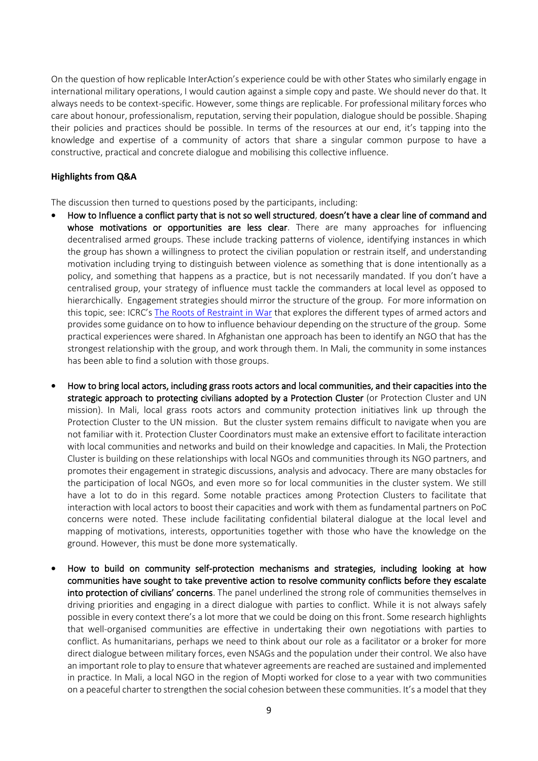On the question of how replicable InterAction's experience could be with other States who similarly engage in international military operations, I would caution against a simple copy and paste. We should never do that. It always needs to be context-specific. However, some things are replicable. For professional military forces who care about honour, professionalism, reputation, serving their population, dialogue should be possible. Shaping their policies and practices should be possible. In terms of the resources at our end, it's tapping into the knowledge and expertise of a community of actors that share a singular common purpose to have a constructive, practical and concrete dialogue and mobilising this collective influence.

#### **Highlights from Q&A**

The discussion then turned to questions posed by the participants, including:

- How to Influence a conflict party that is not so well structured, doesn't have a clear line of command and whose motivations or opportunities are less clear. There are many approaches for influencing decentralised armed groups. These include tracking patterns of violence, identifying instances in which the group has shown a willingness to protect the civilian population or restrain itself, and understanding motivation including trying to distinguish between violence as something that is done intentionally as a policy, and something that happens as a practice, but is not necessarily mandated. If you don't have a centralised group, your strategy of influence must tackle the commanders at local level as opposed to hierarchically. Engagement strategies should mirror the structure of the group. For more information on this topic, see: ICRC's [The Roots of Restraint](https://www.icrc.org/en/publication/roots-restraint-war) in War that explores the different types of armed actors and provides some guidance on to how to influence behaviour depending on the structure of the group. Some practical experiences were shared. In Afghanistan one approach has been to identify an NGO that has the strongest relationship with the group, and work through them. In Mali, the community in some instances has been able to find a solution with those groups.
- How to bring local actors, including grass roots actors and local communities, and their capacities into the strategic approach to protecting civilians adopted by a Protection Cluster (or Protection Cluster and UN mission). In Mali, local grass roots actors and community protection initiatives link up through the Protection Cluster to the UN mission. But the cluster system remains difficult to navigate when you are not familiar with it. Protection Cluster Coordinators must make an extensive effort to facilitate interaction with local communities and networks and build on their knowledge and capacities. In Mali, the Protection Cluster is building on these relationships with local NGOs and communities through its NGO partners, and promotes their engagement in strategic discussions, analysis and advocacy. There are many obstacles for the participation of local NGOs, and even more so for local communities in the cluster system. We still have a lot to do in this regard. Some notable practices among Protection Clusters to facilitate that interaction with local actors to boost their capacities and work with them as fundamental partners on PoC concerns were noted. These include facilitating confidential bilateral dialogue at the local level and mapping of motivations, interests, opportunities together with those who have the knowledge on the ground. However, this must be done more systematically.
- How to build on community self-protection mechanisms and strategies, including looking at how communities have sought to take preventive action to resolve community conflicts before they escalate into protection of civilians' concerns. The panel underlined the strong role of communities themselves in driving priorities and engaging in a direct dialogue with parties to conflict. While it is not always safely possible in every context there's a lot more that we could be doing on this front. Some research highlights that well-organised communities are effective in undertaking their own negotiations with parties to conflict. As humanitarians, perhaps we need to think about our role as a facilitator or a broker for more direct dialogue between military forces, even NSAGs and the population under their control. We also have an important role to play to ensure that whatever agreements are reached are sustained and implemented in practice. In Mali, a local NGO in the region of Mopti worked for close to a year with two communities on a peaceful charter to strengthen the social cohesion between these communities. It's a model that they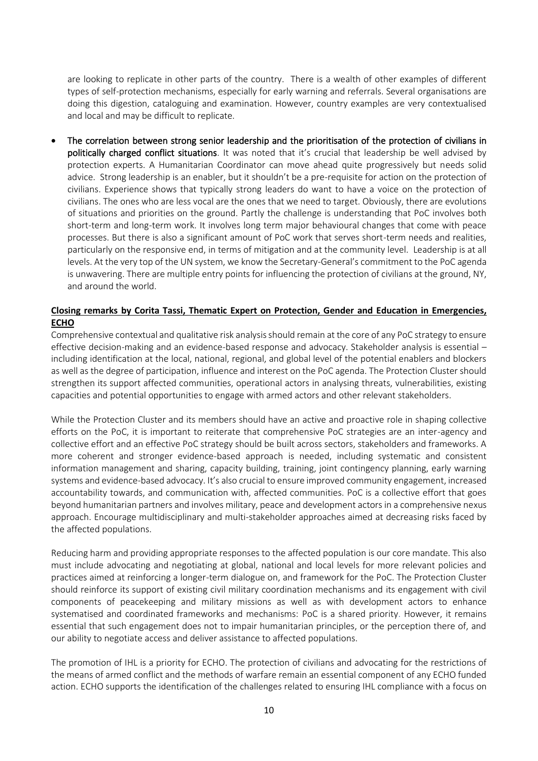are looking to replicate in other parts of the country. There is a wealth of other examples of different types of self-protection mechanisms, especially for early warning and referrals. Several organisations are doing this digestion, cataloguing and examination. However, country examples are very contextualised and local and may be difficult to replicate.

The correlation between strong senior leadership and the prioritisation of the protection of civilians in politically charged conflict situations. It was noted that it's crucial that leadership be well advised by protection experts. A Humanitarian Coordinator can move ahead quite progressively but needs solid advice. Strong leadership is an enabler, but it shouldn't be a pre-requisite for action on the protection of civilians. Experience shows that typically strong leaders do want to have a voice on the protection of civilians. The ones who are less vocal are the ones that we need to target. Obviously, there are evolutions of situations and priorities on the ground. Partly the challenge is understanding that PoC involves both short-term and long-term work. It involves long term major behavioural changes that come with peace processes. But there is also a significant amount of PoC work that serves short-term needs and realities, particularly on the responsive end, in terms of mitigation and at the community level. Leadership is at all levels. At the very top of the UN system, we know the Secretary-General's commitment to the PoC agenda is unwavering. There are multiple entry points for influencing the protection of civilians at the ground, NY, and around the world.

### **Closing remarks by Corita Tassi, Thematic Expert on Protection, Gender and Education in Emergencies, ECHO**

Comprehensive contextual and qualitative risk analysis should remain at the core of any PoC strategy to ensure effective decision-making and an evidence-based response and advocacy. Stakeholder analysis is essential – including identification at the local, national, regional, and global level of the potential enablers and blockers as well as the degree of participation, influence and interest on the PoC agenda. The Protection Cluster should strengthen its support affected communities, operational actors in analysing threats, vulnerabilities, existing capacities and potential opportunities to engage with armed actors and other relevant stakeholders.

While the Protection Cluster and its members should have an active and proactive role in shaping collective efforts on the PoC, it is important to reiterate that comprehensive PoC strategies are an inter-agency and collective effort and an effective PoC strategy should be built across sectors, stakeholders and frameworks. A more coherent and stronger evidence-based approach is needed, including systematic and consistent information management and sharing, capacity building, training, joint contingency planning, early warning systems and evidence-based advocacy. It's also crucial to ensure improved community engagement, increased accountability towards, and communication with, affected communities. PoC is a collective effort that goes beyond humanitarian partners and involves military, peace and development actors in a comprehensive nexus approach. Encourage multidisciplinary and multi-stakeholder approaches aimed at decreasing risks faced by the affected populations.

Reducing harm and providing appropriate responses to the affected population is our core mandate. This also must include advocating and negotiating at global, national and local levels for more relevant policies and practices aimed at reinforcing a longer-term dialogue on, and framework for the PoC. The Protection Cluster should reinforce its support of existing civil military coordination mechanisms and its engagement with civil components of peacekeeping and military missions as well as with development actors to enhance systematised and coordinated frameworks and mechanisms: PoC is a shared priority. However, it remains essential that such engagement does not to impair humanitarian principles, or the perception there of, and our ability to negotiate access and deliver assistance to affected populations.

The promotion of IHL is a priority for ECHO. The protection of civilians and advocating for the restrictions of the means of armed conflict and the methods of warfare remain an essential component of any ECHO funded action. ECHO supports the identification of the challenges related to ensuring IHL compliance with a focus on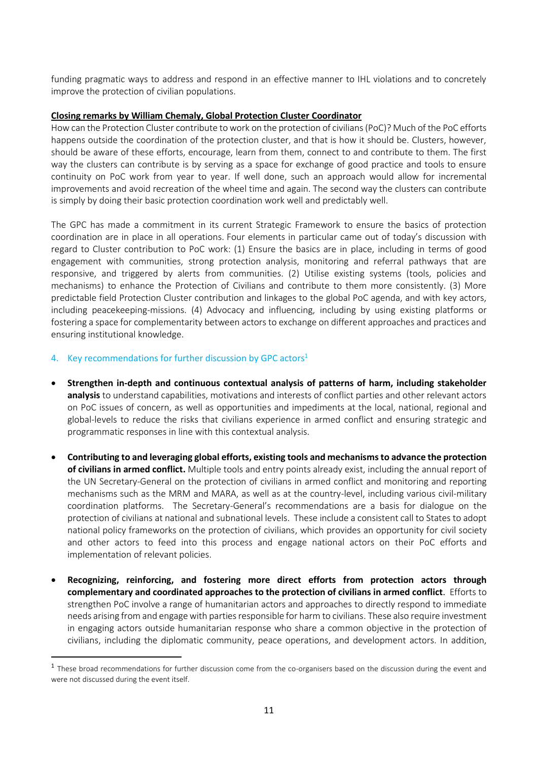funding pragmatic ways to address and respond in an effective manner to IHL violations and to concretely improve the protection of civilian populations.

#### **Closing remarks by William Chemaly, Global Protection Cluster Coordinator**

How can the Protection Cluster contribute to work on the protection of civilians (PoC)? Much of the PoC efforts happens outside the coordination of the protection cluster, and that is how it should be. Clusters, however, should be aware of these efforts, encourage, learn from them, connect to and contribute to them. The first way the clusters can contribute is by serving as a space for exchange of good practice and tools to ensure continuity on PoC work from year to year. If well done, such an approach would allow for incremental improvements and avoid recreation of the wheel time and again. The second way the clusters can contribute is simply by doing their basic protection coordination work well and predictably well.

The GPC has made a commitment in its current Strategic Framework to ensure the basics of protection coordination are in place in all operations. Four elements in particular came out of today's discussion with regard to Cluster contribution to PoC work: (1) Ensure the basics are in place, including in terms of good engagement with communities, strong protection analysis, monitoring and referral pathways that are responsive, and triggered by alerts from communities. (2) Utilise existing systems (tools, policies and mechanisms) to enhance the Protection of Civilians and contribute to them more consistently. (3) More predictable field Protection Cluster contribution and linkages to the global PoC agenda, and with key actors, including peacekeeping-missions. (4) Advocacy and influencing, including by using existing platforms or fostering a space for complementarity between actors to exchange on different approaches and practices and ensuring institutional knowledge.

### 4. Key recommendations for further discussion by GPC actors<sup>1</sup>

- **Strengthen in-depth and continuous contextual analysis of patterns of harm, including stakeholder analysis** to understand capabilities, motivations and interests of conflict parties and other relevant actors on PoC issues of concern, as well as opportunities and impediments at the local, national, regional and global-levels to reduce the risks that civilians experience in armed conflict and ensuring strategic and programmatic responses in line with this contextual analysis.
- **Contributing to and leveraging global efforts, existing tools and mechanisms to advance the protection of civilians in armed conflict.** Multiple tools and entry points already exist, including the annual report of the UN Secretary-General on the protection of civilians in armed conflict and monitoring and reporting mechanisms such as the MRM and MARA, as well as at the country-level, including various civil-military coordination platforms. The Secretary-General's recommendations are a basis for dialogue on the protection of civilians at national and subnational levels. These include a consistent call to States to adopt national policy frameworks on the protection of civilians, which provides an opportunity for civil society and other actors to feed into this process and engage national actors on their PoC efforts and implementation of relevant policies.
- **Recognizing, reinforcing, and fostering more direct efforts from protection actors through complementary and coordinated approaches to the protection of civilians in armed conflict**. Efforts to strengthen PoC involve a range of humanitarian actors and approaches to directly respond to immediate needs arising from and engage with parties responsible for harm to civilians. These also require investment in engaging actors outside humanitarian response who share a common objective in the protection of civilians, including the diplomatic community, peace operations, and development actors. In addition,

<sup>&</sup>lt;sup>1</sup> These broad recommendations for further discussion come from the co-organisers based on the discussion during the event and were not discussed during the event itself.